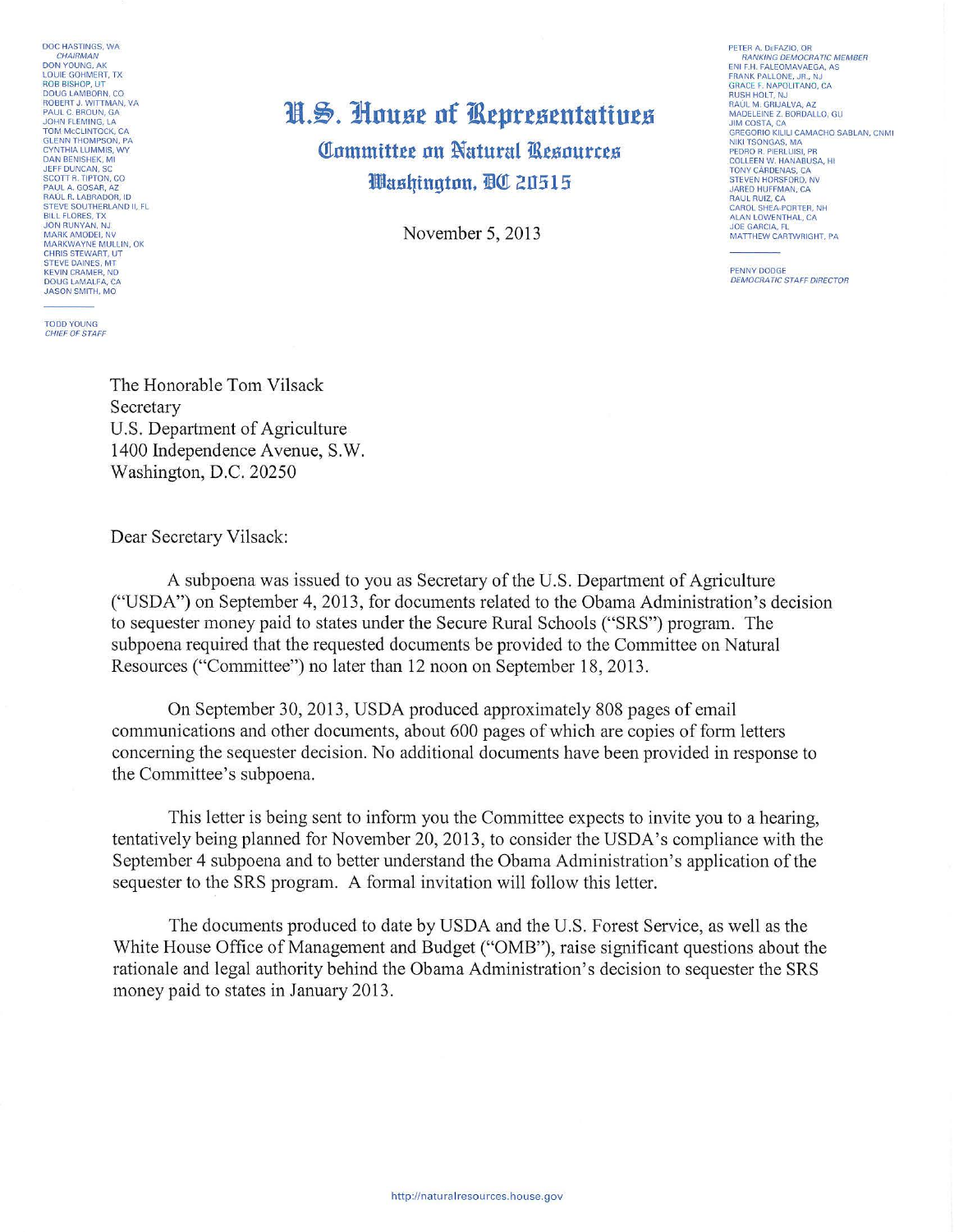DOC HASTINGS, WA **CHAIRMAN** DON YOUNG, AK LOUIE GOHMEAT, TX ROB BISHOP, UT DOUG LAMBORN, CO ROBERT J. WITTMAN, VA PAUL C. BROUN, GA JOHN FLEMING, LA TOM MCCLINTOCK, CA GLENN THOMPSON, PA **CYNTHIA LUMMIS, WY**  DAN BENISHEK. Ml JEFF DUNCAN, SC SCOTT R. TIPTON, CO<br>PAUL A. GOSAR, AZ<br>RAÚL R. LABRADOR, ID<br>STEVE SOUTHERLAND II, FL<br>BILL FLORES, TX<br>JON RUNYAN, NJ<br>MARK AMODEI, NV<br>MARKWAYNE MULLIN, OK<br>MARKWAYNE MULLIN, OK CHRIS STEWART, UT STEVE DAINES, MT KEVIN CRAMER, ND DOUG LAMALFA, CA JASON SMITH, MO

TODD YOUNG CHIEF OF STAFF

## 1!1.~ . **Jlnust nf 11\tprtstnta:tiuts Committee on Natural Resources l!lllasqingtnn. mar 20515**

November 5, 2013

PETER A. DEFAZIO, OR<br>- RANKING DEMOCRATIC MEMBER<br>ENI F.H. FALEOMAVAEGA, AS<br>FRANK PALLONE, JR., NJ GRACE F. NAPOLITANO, CA RUSH HOLT, NJ RAUL M. GRIJALVA, AZ MADELEINE Z. BORDALLO, GU JIM COSTA, CA GREGORIO KILILI CAMACHO SABLAN, CNMI NIKI TSONGAS, MA PEDRO R. PIERLUISI, PR COLLEEN W. HANABUSA, HI TONY CARDENAS, CA STEVEN HORSFORD, NV JARED HUFFMAN, CA RAUL RUIZ, CA CAROL SHEA-PORTER, NH ALAN LOWENTHAL, CA JOE GARCIA. FL MATTHEW CARTWRIGHT, PA

PENNY DODGE<br>DEMOCRATIC STAFF DIRECTOR

The Honorable Tom Vilsack Secretary U.S. Department of Agriculture 1400 Independence Avenue, S.W. Washington, D.C. 20250

Dear Secretary Vilsack:

A subpoena was issued to you as Secretary of the U.S. Department of Agriculture ("USDA") on September 4, 2013, for documents related to the Obama Administration's decision to sequester money paid to states under the Secure Rural Schools ("SRS") program. The subpoena required that the requested documents be provided to the Committee on Natural Resources ("Committee") no later than 12 noon on September 18, 2013.

On September 30, 2013, USDA produced approximately 808 pages of email communications and other documents, about 600 pages of which are copies of fotm letters concerning the sequester decision. No additional documents have been provided in response to the Committee's subpoena.

This letter is being sent to inform you the Committee expects to invite you to a hearing, tentatively being planned for November 20, 2013, to consider the USDA's compliance with the September 4 subpoena and to better understand the Obama Administration's application of the sequester to the SRS program. A formal invitation will follow this letter.

The documents produced to date by USDA and the U.S. Forest Service, as well as the White House Office of Management and Budget ("OMB"), raise significant questions about the rationale and legal authority behind the Obama Administration's decision to sequester the SRS money paid to states in January 2013.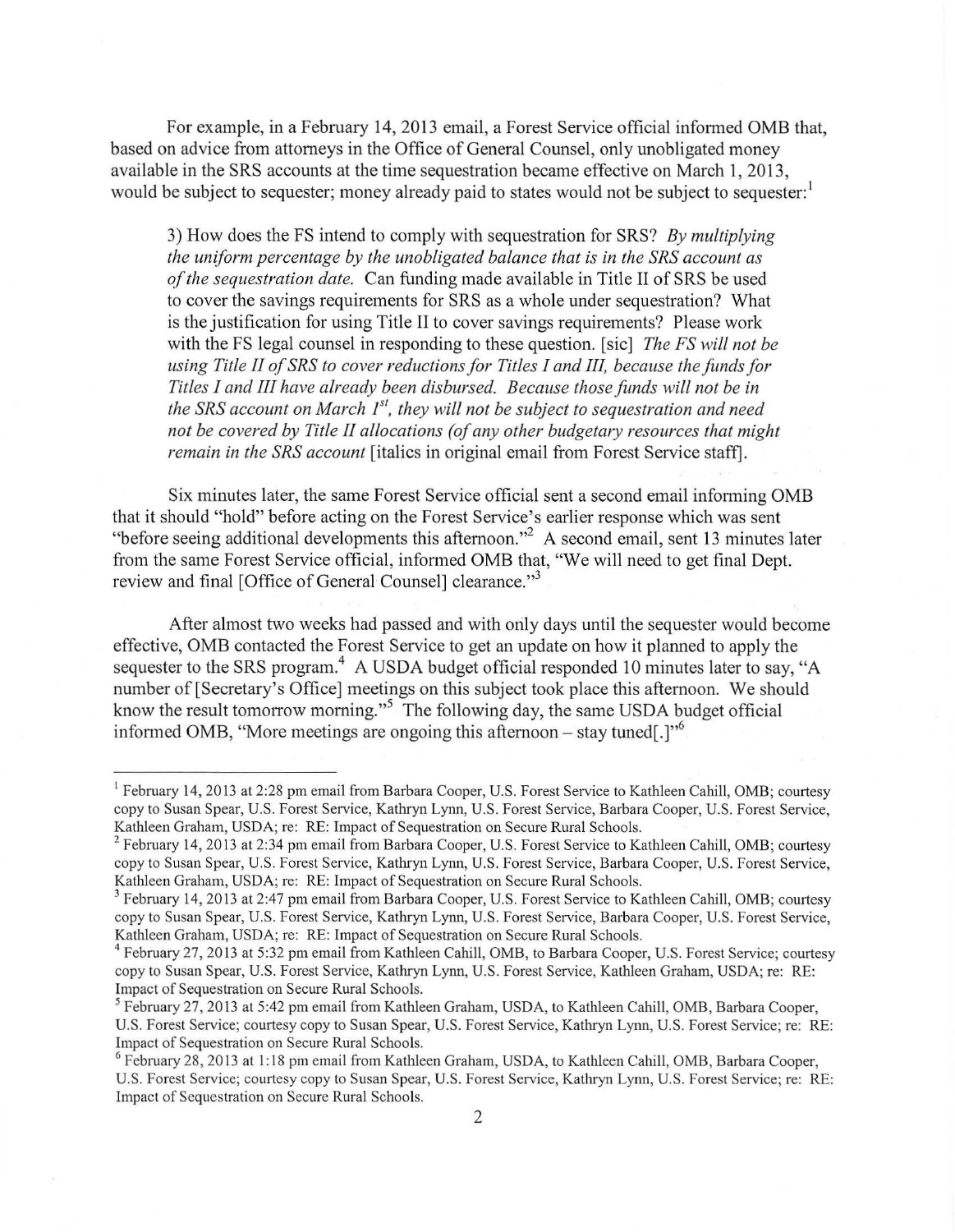For example, in a February 14, 2013 email, a Forest Service official informed OMB that, based on advice from attorneys in the Office of General Counsel, only unobligated money available in the SRS accounts at the time sequestration became effective on March 1, 2013, would be subject to sequester; money already paid to states would not be subject to sequester:

3) How does the FS intend to comply with sequestration for SRS? *By multiplying the uniform percentage by the unobligated balance that is in the SRS account as of the sequestration date.* Can funding made available in Title II of SRS be used to cover the savings requirements for SRS as a whole under sequestration? What is the justification for using Title II to cover savings requirements? Please work with the FS legal counsel in responding to these question. [sic] *The FS will not be using Title II of SRS to cover reductions for Titles I and Ill, because the funds for Titles I and III have already been disbursed. Because those funds will not be in*  the SRS account on March 1<sup>st</sup>, they will not be subject to sequestration and need *not be covered by Title II allocations (of any other budgetary resources that might remain in the SRS account* [italics in original email from Forest Service staff].

Six minutes later, the same Forest Service official sent a second email infonning OMB that it should "hold" before acting on the Forest Service's earlier response which was sent "before seeing additional developments this afternoon."<sup>2</sup> A second email, sent 13 minutes later from the same Forest Service official, infonned OMB that, "We will need to get final Dept. review and final [Office of General Counsel] clearance."<sup>3</sup>

After almost two weeks had passed and with orily days until the sequester would become effective, OMB contacted the Forest Service to get an update on how it planned to apply the sequester to the SRS program.<sup>4</sup> A USDA budget official responded 10 minutes later to say, "A number of [Secretary's Office] meetings on this subject took place this afternoon. We should know the result tomorrow morning."<sup>5</sup> The following day, the same USDA budget official informed OMB, "More meetings are ongoing this afternoon – stay tuned.]"<sup>6</sup>

<sup>&</sup>lt;sup>1</sup> February 14, 2013 at 2:28 pm email from Barbara Cooper, U.S. Forest Service to Kathleen Cahill, OMB; courtesy copy to Susan Spear, U.S. Forest Service, Kathryn Lynn, U.S. Forest Service, Barbara Cooper, U.S. Forest Service, Kathleen Graham, USDA; re: RE: Impact of Sequestration on Secure Rural Schools.<br><sup>2</sup> February 14, 2013 at 2:34 pm email from Barbara Cooper, U.S. Forest Service to Kathleen Cahill, OMB; courtesy

copy to Susan Spear, U.S. Forest Service, Kathryn Lynn, U.S. Forest Service, Barbara Cooper, U.S. Forest Service, Kathleen Graham, USDA; re: RE: Impact of Sequestration on Secure Rural Schools.<br><sup>3</sup> February 14, 2013 at 2:47 pm email from Barbara Cooper, U.S. Forest Service to Kathleen Cahill, OMB; courtesy

copy to Susan Spear, U.S. Forest Service, Kathryn Lynn, U.S. Forest Service, Barbara Cooper, U.S. Forest Service, Kathleen Graham, USDA; re: RE: Impact of Sequestration on Secure Rural Schools.<br><sup>4</sup> February 27, 2013 at 5:32 pm email from Kathleen Cahill, OMB, to Barbara Cooper, U.S. Forest Service; courtesy

copy to Susan Spear, U.S. Forest Service, Kathryn Lynn, U.S. Forest Service, Kathleen Graham, USDA; re: RE: Impact of Sequestration on Secure Rural Schools.<br><sup>5</sup>February 27, 2013 at 5:42 pm email from Kathleen Graham, USDA, to Kathleen Cahill, OMB, Barbara Cooper,

U.S. Forest Service; courtesy copy to Susan Spear, U.S. Forest Service, Kathryn Lynn, U.S. Forest Service; re: RE: Impact of Sequestration on Secure Rural Schools.<br><sup>6</sup> February 28, 2013 at 1:18 pm email from Kathleen Graham, USDA, to Kathleen Cahill, OMB, Barbara Cooper,

U.S. Forest Service; courtesy copy to Susan Spear, U.S. Forest Service, Kathryn Lynn, U.S. Forest Service; re: RE: Impact of Sequestration on Secure Rural Schools.